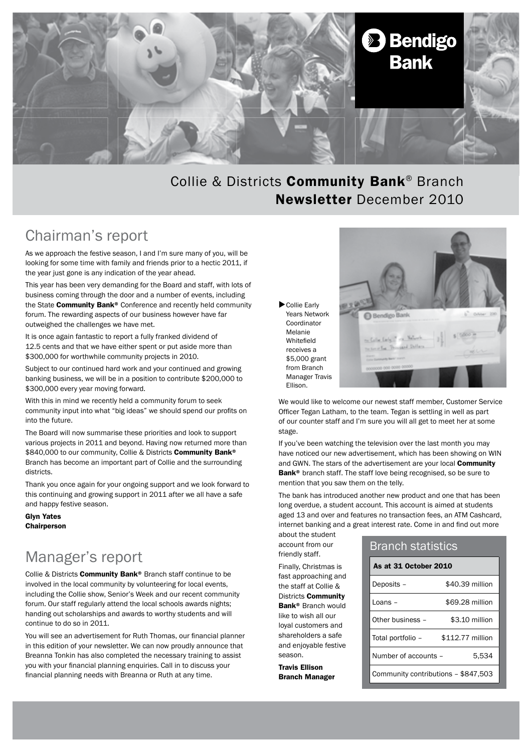

## Collie & Districts Community Bank® Branch Newsletter December 2010

# Chairman's report

As we approach the festive season, I and I'm sure many of you, will be looking for some time with family and friends prior to a hectic 2011, if the year just gone is any indication of the year ahead.

This year has been very demanding for the Board and staff, with lots of business coming through the door and a number of events, including the State Community Bank® Conference and recently held community forum. The rewarding aspects of our business however have far outweighed the challenges we have met.

It is once again fantastic to report a fully franked dividend of 12.5 cents and that we have either spent or put aside more than \$300,000 for worthwhile community projects in 2010.

Subject to our continued hard work and your continued and growing banking business, we will be in a position to contribute \$200,000 to \$300,000 every year moving forward.

With this in mind we recently held a community forum to seek community input into what "big ideas" we should spend our profits on into the future.

The Board will now summarise these priorities and look to support various projects in 2011 and beyond. Having now returned more than \$840,000 to our community, Collie & Districts Community Bank® Branch has become an important part of Collie and the surrounding districts.

Thank you once again for your ongoing support and we look forward to this continuing and growing support in 2011 after we all have a safe and happy festive season.

Glyn Yates **Chairperson** 

# Manager's report

Collie & Districts Community Bank® Branch staff continue to be involved in the local community by volunteering for local events, including the Collie show, Senior's Week and our recent community forum. Our staff regularly attend the local schools awards nights; handing out scholarships and awards to worthy students and will continue to do so in 2011.

You will see an advertisement for Ruth Thomas, our financial planner in this edition of your newsletter. We can now proudly announce that Breanna Tonkin has also completed the necessary training to assist you with your financial planning enquiries. Call in to discuss your financial planning needs with Breanna or Ruth at any time.

Collie Early Years Network Coordinator Melanie Whitefield receives a \$5,000 grant from Branch Manager Travis Ellison.



We would like to welcome our newest staff member, Customer Service Officer Tegan Latham, to the team. Tegan is settling in well as part of our counter staff and I'm sure you will all get to meet her at some stage.

If you've been watching the television over the last month you may have noticed our new advertisement, which has been showing on WIN and GWN. The stars of the advertisement are your local Community Bank<sup>®</sup> branch staff. The staff love being recognised, so be sure to mention that you saw them on the telly.

The bank has introduced another new product and one that has been long overdue, a student account. This account is aimed at students aged 13 and over and features no transaction fees, an ATM Cashcard, internet banking and a great interest rate. Come in and find out more

about the student account from our friendly staff.

Finally, Christmas is fast approaching and the staff at Collie & Districts Community Bank® Branch would like to wish all our loyal customers and shareholders a safe and enjoyable festive season.

Travis Ellison Branch Manager

### Branch statistics

| As at 31 October 2010               |                  |
|-------------------------------------|------------------|
| Deposits -                          | \$40.39 million  |
| I nans -                            | \$69.28 million  |
| Other business -                    | \$3.10 million   |
| Total portfolio -                   | \$112.77 million |
| Number of accounts -                | 5,534            |
| Community contributions - \$847,503 |                  |